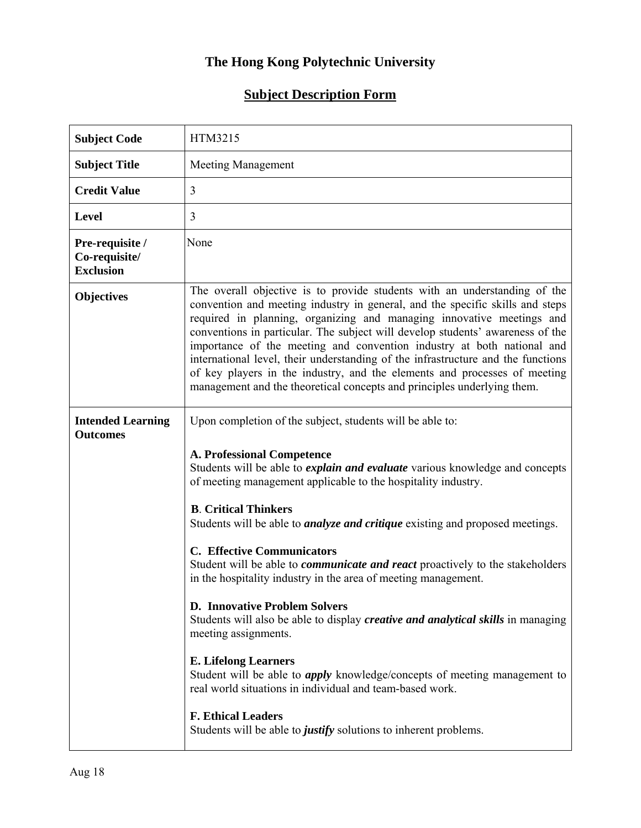## **The Hong Kong Polytechnic University**

## **Subject Description Form**

| <b>Subject Code</b>                                  | HTM3215                                                                                                                                                                                                                                                                                                                                                                                                                                                                                                                                                                                                                                                                                                                                                                                                                                                                                                                |
|------------------------------------------------------|------------------------------------------------------------------------------------------------------------------------------------------------------------------------------------------------------------------------------------------------------------------------------------------------------------------------------------------------------------------------------------------------------------------------------------------------------------------------------------------------------------------------------------------------------------------------------------------------------------------------------------------------------------------------------------------------------------------------------------------------------------------------------------------------------------------------------------------------------------------------------------------------------------------------|
| <b>Subject Title</b>                                 | <b>Meeting Management</b>                                                                                                                                                                                                                                                                                                                                                                                                                                                                                                                                                                                                                                                                                                                                                                                                                                                                                              |
| <b>Credit Value</b>                                  | 3                                                                                                                                                                                                                                                                                                                                                                                                                                                                                                                                                                                                                                                                                                                                                                                                                                                                                                                      |
| <b>Level</b>                                         | 3                                                                                                                                                                                                                                                                                                                                                                                                                                                                                                                                                                                                                                                                                                                                                                                                                                                                                                                      |
| Pre-requisite /<br>Co-requisite/<br><b>Exclusion</b> | None                                                                                                                                                                                                                                                                                                                                                                                                                                                                                                                                                                                                                                                                                                                                                                                                                                                                                                                   |
| <b>Objectives</b>                                    | The overall objective is to provide students with an understanding of the<br>convention and meeting industry in general, and the specific skills and steps<br>required in planning, organizing and managing innovative meetings and<br>conventions in particular. The subject will develop students' awareness of the<br>importance of the meeting and convention industry at both national and<br>international level, their understanding of the infrastructure and the functions<br>of key players in the industry, and the elements and processes of meeting<br>management and the theoretical concepts and principles underlying them.                                                                                                                                                                                                                                                                            |
| <b>Intended Learning</b><br><b>Outcomes</b>          | Upon completion of the subject, students will be able to:<br><b>A. Professional Competence</b><br>Students will be able to <i>explain and evaluate</i> various knowledge and concepts<br>of meeting management applicable to the hospitality industry.<br><b>B.</b> Critical Thinkers<br>Students will be able to <i>analyze and critique</i> existing and proposed meetings.<br><b>C. Effective Communicators</b><br>Student will be able to <i>communicate and react</i> proactively to the stakeholders<br>in the hospitality industry in the area of meeting management.<br><b>D. Innovative Problem Solvers</b><br>Students will also be able to display <i>creative and analytical skills</i> in managing<br>meeting assignments.<br><b>E. Lifelong Learners</b><br>Student will be able to <i>apply</i> knowledge/concepts of meeting management to<br>real world situations in individual and team-based work. |
|                                                      | <b>F. Ethical Leaders</b><br>Students will be able to justify solutions to inherent problems.                                                                                                                                                                                                                                                                                                                                                                                                                                                                                                                                                                                                                                                                                                                                                                                                                          |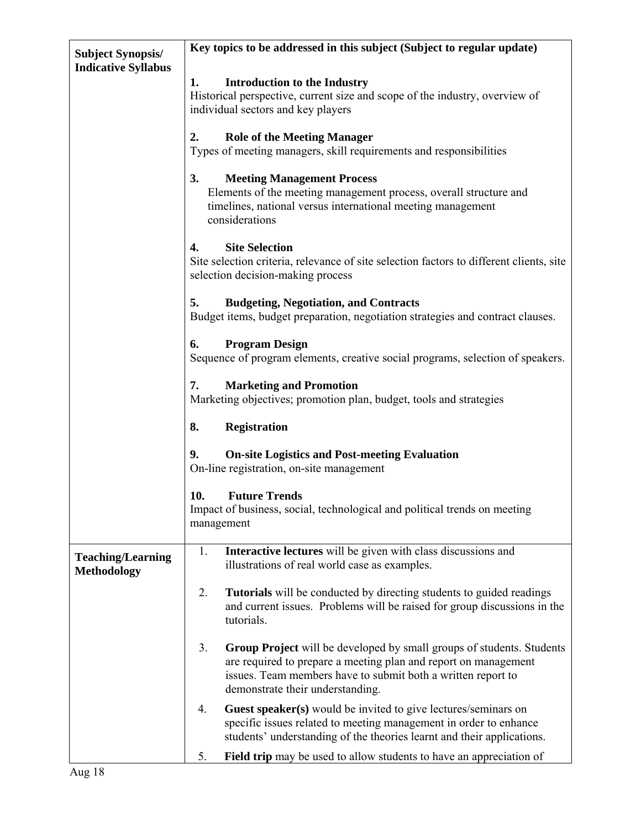| <b>Subject Synopsis/</b>                       | Key topics to be addressed in this subject (Subject to regular update)                                                                                                                                                                             |  |  |  |  |  |
|------------------------------------------------|----------------------------------------------------------------------------------------------------------------------------------------------------------------------------------------------------------------------------------------------------|--|--|--|--|--|
| <b>Indicative Syllabus</b>                     |                                                                                                                                                                                                                                                    |  |  |  |  |  |
|                                                | 1.<br><b>Introduction to the Industry</b>                                                                                                                                                                                                          |  |  |  |  |  |
|                                                | Historical perspective, current size and scope of the industry, overview of                                                                                                                                                                        |  |  |  |  |  |
|                                                | individual sectors and key players                                                                                                                                                                                                                 |  |  |  |  |  |
|                                                | 2.<br><b>Role of the Meeting Manager</b>                                                                                                                                                                                                           |  |  |  |  |  |
|                                                | Types of meeting managers, skill requirements and responsibilities                                                                                                                                                                                 |  |  |  |  |  |
|                                                | <b>Meeting Management Process</b><br>Elements of the meeting management process, overall structure and<br>timelines, national versus international meeting management<br>considerations                                                            |  |  |  |  |  |
|                                                | <b>Site Selection</b><br>4.<br>Site selection criteria, relevance of site selection factors to different clients, site<br>selection decision-making process                                                                                        |  |  |  |  |  |
|                                                |                                                                                                                                                                                                                                                    |  |  |  |  |  |
|                                                | 5.<br><b>Budgeting, Negotiation, and Contracts</b><br>Budget items, budget preparation, negotiation strategies and contract clauses.                                                                                                               |  |  |  |  |  |
|                                                | <b>Program Design</b><br>Sequence of program elements, creative social programs, selection of speakers.                                                                                                                                            |  |  |  |  |  |
|                                                | 7.<br><b>Marketing and Promotion</b><br>Marketing objectives, promotion plan, budget, tools and strategies                                                                                                                                         |  |  |  |  |  |
|                                                | 8.<br><b>Registration</b>                                                                                                                                                                                                                          |  |  |  |  |  |
|                                                | 9.<br><b>On-site Logistics and Post-meeting Evaluation</b><br>On-line registration, on-site management                                                                                                                                             |  |  |  |  |  |
|                                                | 10.<br><b>Future Trends</b><br>Impact of business, social, technological and political trends on meeting<br>management                                                                                                                             |  |  |  |  |  |
| <b>Teaching/Learning</b><br><b>Methodology</b> | Interactive lectures will be given with class discussions and<br>1.<br>illustrations of real world case as examples.                                                                                                                               |  |  |  |  |  |
|                                                | 2.<br><b>Tutorials</b> will be conducted by directing students to guided readings<br>and current issues. Problems will be raised for group discussions in the<br>tutorials.                                                                        |  |  |  |  |  |
|                                                | 3.<br>Group Project will be developed by small groups of students. Students<br>are required to prepare a meeting plan and report on management<br>issues. Team members have to submit both a written report to<br>demonstrate their understanding. |  |  |  |  |  |
|                                                | Guest speaker(s) would be invited to give lectures/seminars on<br>4.<br>specific issues related to meeting management in order to enhance<br>students' understanding of the theories learnt and their applications.                                |  |  |  |  |  |
|                                                | 5.<br><b>Field trip</b> may be used to allow students to have an appreciation of                                                                                                                                                                   |  |  |  |  |  |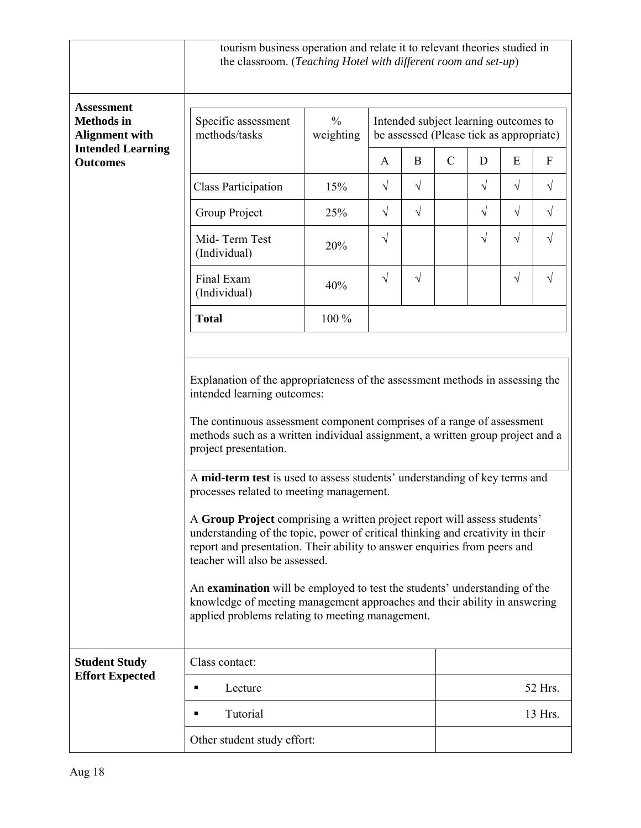|                                                                 | tourism business operation and relate it to relevant theories studied in<br>the classroom. (Teaching Hotel with different room and set-up)                                                                                                                                                                                                                                                                                                                                                                                                                                                                                                                                                                                                                                                                                              |                            |            |                                                                                   |               |            |            |            |  |
|-----------------------------------------------------------------|-----------------------------------------------------------------------------------------------------------------------------------------------------------------------------------------------------------------------------------------------------------------------------------------------------------------------------------------------------------------------------------------------------------------------------------------------------------------------------------------------------------------------------------------------------------------------------------------------------------------------------------------------------------------------------------------------------------------------------------------------------------------------------------------------------------------------------------------|----------------------------|------------|-----------------------------------------------------------------------------------|---------------|------------|------------|------------|--|
| <b>Assessment</b><br><b>Methods</b> in<br><b>Alignment with</b> | Specific assessment<br>methods/tasks                                                                                                                                                                                                                                                                                                                                                                                                                                                                                                                                                                                                                                                                                                                                                                                                    | $\frac{0}{0}$<br>weighting |            | Intended subject learning outcomes to<br>be assessed (Please tick as appropriate) |               |            |            |            |  |
| <b>Intended Learning</b><br><b>Outcomes</b>                     |                                                                                                                                                                                                                                                                                                                                                                                                                                                                                                                                                                                                                                                                                                                                                                                                                                         |                            | A          | $\bf{B}$                                                                          | $\mathcal{C}$ | D          | E          | F          |  |
|                                                                 | <b>Class Participation</b>                                                                                                                                                                                                                                                                                                                                                                                                                                                                                                                                                                                                                                                                                                                                                                                                              | 15%                        | $\sqrt{}$  | $\sqrt{}$                                                                         |               | $\sqrt{ }$ | $\sqrt{}$  | $\sqrt{}$  |  |
|                                                                 | Group Project                                                                                                                                                                                                                                                                                                                                                                                                                                                                                                                                                                                                                                                                                                                                                                                                                           | 25%                        | $\sqrt{ }$ | $\sqrt{ }$                                                                        |               | $\sqrt{ }$ | $\sqrt{ }$ | $\sqrt{}$  |  |
|                                                                 | Mid-Term Test<br>(Individual)                                                                                                                                                                                                                                                                                                                                                                                                                                                                                                                                                                                                                                                                                                                                                                                                           | 20%                        | $\sqrt{ }$ |                                                                                   |               | $\sqrt{}$  | $\sqrt{}$  | $\sqrt{}$  |  |
|                                                                 | Final Exam<br>(Individual)                                                                                                                                                                                                                                                                                                                                                                                                                                                                                                                                                                                                                                                                                                                                                                                                              | 40%                        | $\sqrt{ }$ | $\sqrt{ }$                                                                        |               |            | $\sqrt{}$  | $\sqrt{ }$ |  |
|                                                                 | <b>Total</b>                                                                                                                                                                                                                                                                                                                                                                                                                                                                                                                                                                                                                                                                                                                                                                                                                            | 100 %                      |            |                                                                                   |               |            |            |            |  |
|                                                                 | intended learning outcomes:<br>The continuous assessment component comprises of a range of assessment<br>methods such as a written individual assignment, a written group project and a<br>project presentation.<br>A mid-term test is used to assess students' understanding of key terms and<br>processes related to meeting management.<br>A Group Project comprising a written project report will assess students'<br>understanding of the topic, power of critical thinking and creativity in their<br>report and presentation. Their ability to answer enquiries from peers and<br>teacher will also be assessed.<br>An examination will be employed to test the students' understanding of the<br>knowledge of meeting management approaches and their ability in answering<br>applied problems relating to meeting management. |                            |            |                                                                                   |               |            |            |            |  |
| <b>Student Study</b><br><b>Effort Expected</b>                  | Class contact:                                                                                                                                                                                                                                                                                                                                                                                                                                                                                                                                                                                                                                                                                                                                                                                                                          |                            |            |                                                                                   |               |            |            |            |  |
|                                                                 | Lecture<br>٠                                                                                                                                                                                                                                                                                                                                                                                                                                                                                                                                                                                                                                                                                                                                                                                                                            |                            |            |                                                                                   |               | 52 Hrs.    |            |            |  |
|                                                                 | Tutorial<br>13 Hrs.<br>٠                                                                                                                                                                                                                                                                                                                                                                                                                                                                                                                                                                                                                                                                                                                                                                                                                |                            |            |                                                                                   |               |            |            |            |  |
|                                                                 | Other student study effort:                                                                                                                                                                                                                                                                                                                                                                                                                                                                                                                                                                                                                                                                                                                                                                                                             |                            |            |                                                                                   |               |            |            |            |  |